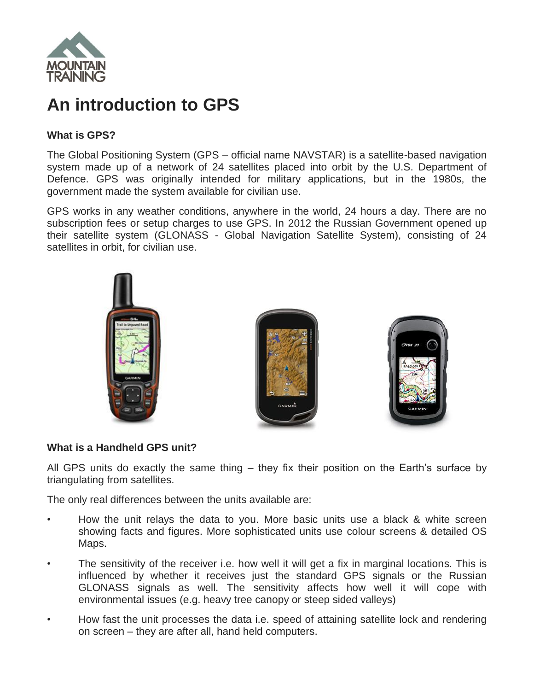

# **An introduction to GPS**

# **What is GPS?**

The Global Positioning System (GPS – official name NAVSTAR) is a satellite-based navigation system made up of a network of 24 satellites placed into orbit by the U.S. Department of Defence. GPS was originally intended for military applications, but in the 1980s, the government made the system available for civilian use.

GPS works in any weather conditions, anywhere in the world, 24 hours a day. There are no subscription fees or setup charges to use GPS. In 2012 the Russian Government opened up their satellite system (GLONASS - Global Navigation Satellite System), consisting of 24 satellites in orbit, for civilian use.



# **What is a Handheld GPS unit?**

All GPS units do exactly the same thing – they fix their position on the Earth's surface by triangulating from satellites.

The only real differences between the units available are:

- How the unit relays the data to you. More basic units use a black & white screen showing facts and figures. More sophisticated units use colour screens & detailed OS Maps.
- The sensitivity of the receiver i.e. how well it will get a fix in marginal locations. This is influenced by whether it receives just the standard GPS signals or the Russian GLONASS signals as well. The sensitivity affects how well it will cope with environmental issues (e.g. heavy tree canopy or steep sided valleys)
- How fast the unit processes the data i.e. speed of attaining satellite lock and rendering on screen – they are after all, hand held computers.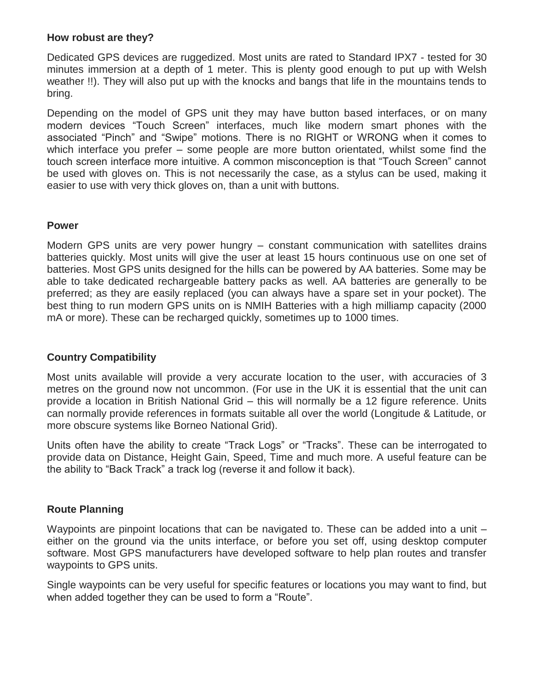# **How robust are they?**

Dedicated GPS devices are ruggedized. Most units are rated to Standard IPX7 - tested for 30 minutes immersion at a depth of 1 meter. This is plenty good enough to put up with Welsh weather !!). They will also put up with the knocks and bangs that life in the mountains tends to bring.

Depending on the model of GPS unit they may have button based interfaces, or on many modern devices "Touch Screen" interfaces, much like modern smart phones with the associated "Pinch" and "Swipe" motions. There is no RIGHT or WRONG when it comes to which interface you prefer – some people are more button orientated, whilst some find the touch screen interface more intuitive. A common misconception is that "Touch Screen" cannot be used with gloves on. This is not necessarily the case, as a stylus can be used, making it easier to use with very thick gloves on, than a unit with buttons.

#### **Power**

Modern GPS units are very power hungry – constant communication with satellites drains batteries quickly. Most units will give the user at least 15 hours continuous use on one set of batteries. Most GPS units designed for the hills can be powered by AA batteries. Some may be able to take dedicated rechargeable battery packs as well. AA batteries are generally to be preferred; as they are easily replaced (you can always have a spare set in your pocket). The best thing to run modern GPS units on is NMIH Batteries with a high milliamp capacity (2000 mA or more). These can be recharged quickly, sometimes up to 1000 times.

# **Country Compatibility**

Most units available will provide a very accurate location to the user, with accuracies of 3 metres on the ground now not uncommon. (For use in the UK it is essential that the unit can provide a location in British National Grid – this will normally be a 12 figure reference. Units can normally provide references in formats suitable all over the world (Longitude & Latitude, or more obscure systems like Borneo National Grid).

Units often have the ability to create "Track Logs" or "Tracks". These can be interrogated to provide data on Distance, Height Gain, Speed, Time and much more. A useful feature can be the ability to "Back Track" a track log (reverse it and follow it back).

# **Route Planning**

Waypoints are pinpoint locations that can be navigated to. These can be added into a unit either on the ground via the units interface, or before you set off, using desktop computer software. Most GPS manufacturers have developed software to help plan routes and transfer waypoints to GPS units.

Single waypoints can be very useful for specific features or locations you may want to find, but when added together they can be used to form a "Route".